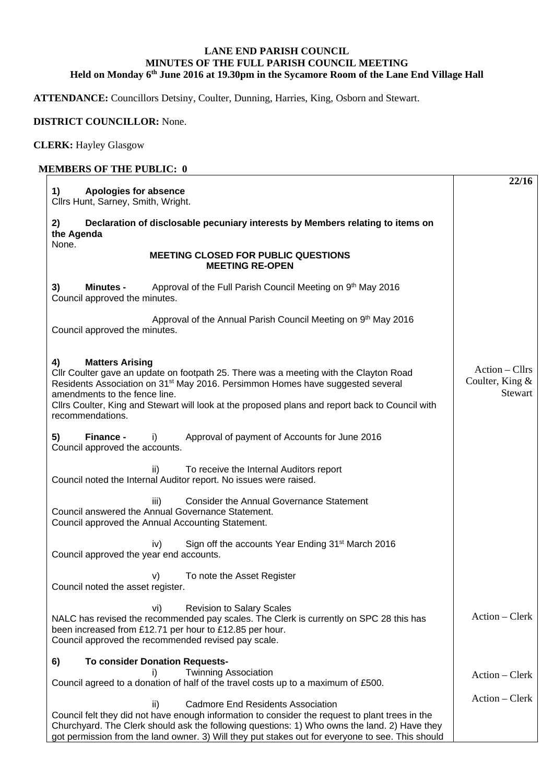## **LANE END PARISH COUNCIL MINUTES OF THE FULL PARISH COUNCIL MEETING Held on Monday 6th June 2016 at 19.30pm in the Sycamore Room of the Lane End Village Hall**

**ATTENDANCE:** Councillors Detsiny, Coulter, Dunning, Harries, King, Osborn and Stewart.

## **DISTRICT COUNCILLOR:** None.

**CLERK:** Hayley Glasgow

## **MEMBERS OF THE PUBLIC: 0**

| <b>Apologies for absence</b><br>1)<br>Cllrs Hunt, Sarney, Smith, Wright.                                                                                                                                                                                                                                                                                                    | 22/16                                        |  |  |  |
|-----------------------------------------------------------------------------------------------------------------------------------------------------------------------------------------------------------------------------------------------------------------------------------------------------------------------------------------------------------------------------|----------------------------------------------|--|--|--|
| Declaration of disclosable pecuniary interests by Members relating to items on<br>2)<br>the Agenda                                                                                                                                                                                                                                                                          |                                              |  |  |  |
| None.<br><b>MEETING CLOSED FOR PUBLIC QUESTIONS</b><br><b>MEETING RE-OPEN</b>                                                                                                                                                                                                                                                                                               |                                              |  |  |  |
| 3)<br>Approval of the Full Parish Council Meeting on 9 <sup>th</sup> May 2016<br><b>Minutes -</b><br>Council approved the minutes.                                                                                                                                                                                                                                          |                                              |  |  |  |
| Approval of the Annual Parish Council Meeting on 9 <sup>th</sup> May 2016<br>Council approved the minutes.                                                                                                                                                                                                                                                                  |                                              |  |  |  |
| <b>Matters Arising</b><br>4)<br>Cllr Coulter gave an update on footpath 25. There was a meeting with the Clayton Road<br>Residents Association on 31 <sup>st</sup> May 2016. Persimmon Homes have suggested several<br>amendments to the fence line.<br>Cllrs Coulter, King and Stewart will look at the proposed plans and report back to Council with<br>recommendations. | Action – Cllrs<br>Coulter, King &<br>Stewart |  |  |  |
| 5)<br>Finance -<br>Approval of payment of Accounts for June 2016<br>i)<br>Council approved the accounts.                                                                                                                                                                                                                                                                    |                                              |  |  |  |
| To receive the Internal Auditors report<br>ii)<br>Council noted the Internal Auditor report. No issues were raised.                                                                                                                                                                                                                                                         |                                              |  |  |  |
| <b>Consider the Annual Governance Statement</b><br>iii)<br>Council answered the Annual Governance Statement.<br>Council approved the Annual Accounting Statement.                                                                                                                                                                                                           |                                              |  |  |  |
| Sign off the accounts Year Ending 31 <sup>st</sup> March 2016<br>iv)<br>Council approved the year end accounts.                                                                                                                                                                                                                                                             |                                              |  |  |  |
| To note the Asset Register<br>V)<br>Council noted the asset register.                                                                                                                                                                                                                                                                                                       |                                              |  |  |  |
| <b>Revision to Salary Scales</b><br>vi)<br>NALC has revised the recommended pay scales. The Clerk is currently on SPC 28 this has<br>been increased from £12.71 per hour to £12.85 per hour.<br>Council approved the recommended revised pay scale.                                                                                                                         | $Action - Clerk$                             |  |  |  |
| <b>To consider Donation Requests-</b><br>6)<br><b>Twinning Association</b><br>i)                                                                                                                                                                                                                                                                                            |                                              |  |  |  |
| Council agreed to a donation of half of the travel costs up to a maximum of £500.                                                                                                                                                                                                                                                                                           | $Action - Clerk$                             |  |  |  |
| <b>Cadmore End Residents Association</b><br>ii)<br>Council felt they did not have enough information to consider the request to plant trees in the<br>Churchyard. The Clerk should ask the following questions: 1) Who owns the land. 2) Have they<br>got permission from the land owner. 3) Will they put stakes out for everyone to see. This should                      | $Action - Clerk$                             |  |  |  |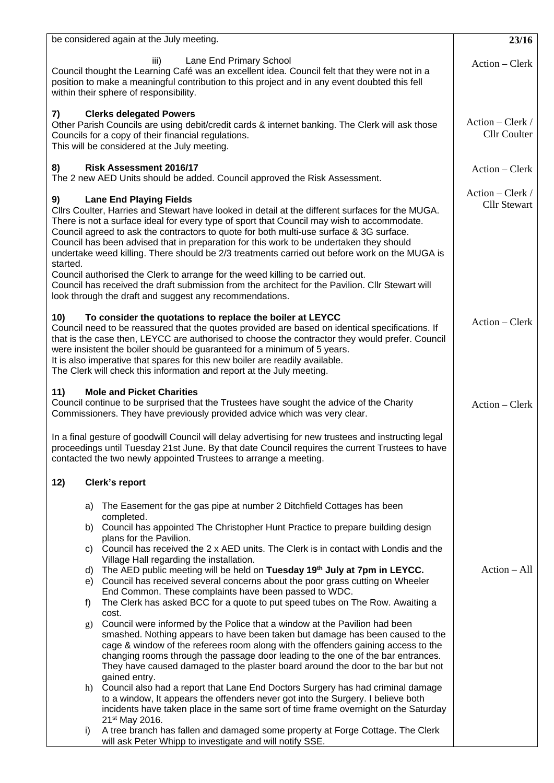| be considered again at the July meeting.                                                                                                                                                                                                                                                                                                                                                                                                                                                                                                                                                                                                                                                                                                                                                    | 23/16                                     |
|---------------------------------------------------------------------------------------------------------------------------------------------------------------------------------------------------------------------------------------------------------------------------------------------------------------------------------------------------------------------------------------------------------------------------------------------------------------------------------------------------------------------------------------------------------------------------------------------------------------------------------------------------------------------------------------------------------------------------------------------------------------------------------------------|-------------------------------------------|
| Lane End Primary School<br>iii)<br>Council thought the Learning Café was an excellent idea. Council felt that they were not in a<br>position to make a meaningful contribution to this project and in any event doubted this fell<br>within their sphere of responsibility.                                                                                                                                                                                                                                                                                                                                                                                                                                                                                                                 | Action - Clerk                            |
| <b>Clerks delegated Powers</b><br>7)<br>Other Parish Councils are using debit/credit cards & internet banking. The Clerk will ask those<br>Councils for a copy of their financial regulations.<br>This will be considered at the July meeting.                                                                                                                                                                                                                                                                                                                                                                                                                                                                                                                                              | Action – Clerk /<br><b>Cllr Coulter</b>   |
| <b>Risk Assessment 2016/17</b><br>8)<br>The 2 new AED Units should be added. Council approved the Risk Assessment.                                                                                                                                                                                                                                                                                                                                                                                                                                                                                                                                                                                                                                                                          | Action – Clerk                            |
| <b>Lane End Playing Fields</b><br>9)<br>Cllrs Coulter, Harries and Stewart have looked in detail at the different surfaces for the MUGA.<br>There is not a surface ideal for every type of sport that Council may wish to accommodate.<br>Council agreed to ask the contractors to quote for both multi-use surface & 3G surface.<br>Council has been advised that in preparation for this work to be undertaken they should<br>undertake weed killing. There should be 2/3 treatments carried out before work on the MUGA is<br>started.<br>Council authorised the Clerk to arrange for the weed killing to be carried out.<br>Council has received the draft submission from the architect for the Pavilion. Cllr Stewart will<br>look through the draft and suggest any recommendations. | $Action - Clark /$<br><b>Cllr Stewart</b> |
| To consider the quotations to replace the boiler at LEYCC<br>10)<br>Council need to be reassured that the quotes provided are based on identical specifications. If<br>that is the case then, LEYCC are authorised to choose the contractor they would prefer. Council<br>were insistent the boiler should be guaranteed for a minimum of 5 years.<br>It is also imperative that spares for this new boiler are readily available.<br>The Clerk will check this information and report at the July meeting.                                                                                                                                                                                                                                                                                 | Action - Clerk                            |
| 11)<br><b>Mole and Picket Charities</b><br>Council continue to be surprised that the Trustees have sought the advice of the Charity<br>Commissioners. They have previously provided advice which was very clear.                                                                                                                                                                                                                                                                                                                                                                                                                                                                                                                                                                            | Action – Clerk                            |
| In a final gesture of goodwill Council will delay advertising for new trustees and instructing legal<br>proceedings until Tuesday 21st June. By that date Council requires the current Trustees to have<br>contacted the two newly appointed Trustees to arrange a meeting.                                                                                                                                                                                                                                                                                                                                                                                                                                                                                                                 |                                           |
| 12)<br>Clerk's report                                                                                                                                                                                                                                                                                                                                                                                                                                                                                                                                                                                                                                                                                                                                                                       |                                           |
| The Easement for the gas pipe at number 2 Ditchfield Cottages has been<br>a)<br>completed.                                                                                                                                                                                                                                                                                                                                                                                                                                                                                                                                                                                                                                                                                                  |                                           |
| b) Council has appointed The Christopher Hunt Practice to prepare building design<br>plans for the Pavilion.                                                                                                                                                                                                                                                                                                                                                                                                                                                                                                                                                                                                                                                                                |                                           |
| Council has received the 2 x AED units. The Clerk is in contact with Londis and the<br>C)<br>Village Hall regarding the installation.                                                                                                                                                                                                                                                                                                                                                                                                                                                                                                                                                                                                                                                       |                                           |
| The AED public meeting will be held on Tuesday 19th July at 7pm in LEYCC.<br>d)<br>Council has received several concerns about the poor grass cutting on Wheeler<br>e)                                                                                                                                                                                                                                                                                                                                                                                                                                                                                                                                                                                                                      | $Action - All$                            |
| End Common. These complaints have been passed to WDC.<br>The Clerk has asked BCC for a quote to put speed tubes on The Row. Awaiting a<br>f)                                                                                                                                                                                                                                                                                                                                                                                                                                                                                                                                                                                                                                                |                                           |
| cost.                                                                                                                                                                                                                                                                                                                                                                                                                                                                                                                                                                                                                                                                                                                                                                                       |                                           |
| Council were informed by the Police that a window at the Pavilion had been<br>g)<br>smashed. Nothing appears to have been taken but damage has been caused to the<br>cage & window of the referees room along with the offenders gaining access to the<br>changing rooms through the passage door leading to the one of the bar entrances.<br>They have caused damaged to the plaster board around the door to the bar but not                                                                                                                                                                                                                                                                                                                                                              |                                           |
| gained entry.<br>h) Council also had a report that Lane End Doctors Surgery has had criminal damage<br>to a window, It appears the offenders never got into the Surgery. I believe both<br>incidents have taken place in the same sort of time frame overnight on the Saturday                                                                                                                                                                                                                                                                                                                                                                                                                                                                                                              |                                           |
| 21 <sup>st</sup> May 2016.<br>A tree branch has fallen and damaged some property at Forge Cottage. The Clerk<br>i)<br>will ask Peter Whipp to investigate and will notify SSE.                                                                                                                                                                                                                                                                                                                                                                                                                                                                                                                                                                                                              |                                           |